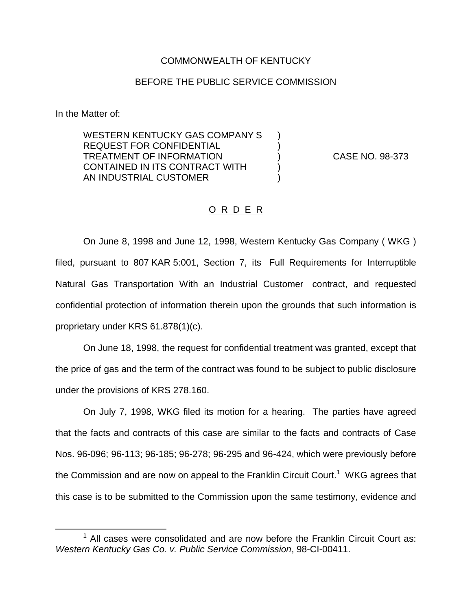## COMMONWEALTH OF KENTUCKY

## BEFORE THE PUBLIC SERVICE COMMISSION

In the Matter of:

WESTERN KENTUCKY GAS COMPANY S REQUEST FOR CONFIDENTIAL ) TREATMENT OF INFORMATION ) CASE NO. 98-373 CONTAINED IN ITS CONTRACT WITH AN INDUSTRIAL CUSTOMER

## O R D E R

On June 8, 1998 and June 12, 1998, Western Kentucky Gas Company ( WKG ) filed, pursuant to 807 KAR 5:001, Section 7, its Full Requirements for Interruptible Natural Gas Transportation With an Industrial Customer contract, and requested confidential protection of information therein upon the grounds that such information is proprietary under KRS 61.878(1)(c).

On June 18, 1998, the request for confidential treatment was granted, except that the price of gas and the term of the contract was found to be subject to public disclosure under the provisions of KRS 278.160.

On July 7, 1998, WKG filed its motion for a hearing. The parties have agreed that the facts and contracts of this case are similar to the facts and contracts of Case Nos. 96-096; 96-113; 96-185; 96-278; 96-295 and 96-424, which were previously before the Commission and are now on appeal to the Franklin Circuit Court.<sup>1</sup> WKG agrees that this case is to be submitted to the Commission upon the same testimony, evidence and

 $1$  All cases were consolidated and are now before the Franklin Circuit Court as: *Western Kentucky Gas Co. v. Public Service Commission*, 98-CI-00411.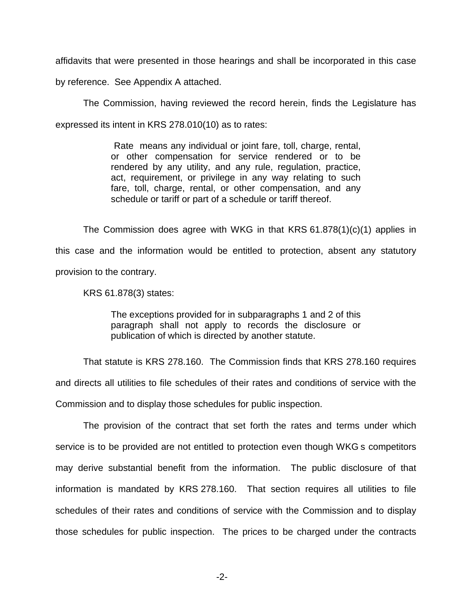affidavits that were presented in those hearings and shall be incorporated in this case

by reference. See Appendix A attached.

The Commission, having reviewed the record herein, finds the Legislature has expressed its intent in KRS 278.010(10) as to rates:

> Rate means any individual or joint fare, toll, charge, rental, or other compensation for service rendered or to be rendered by any utility, and any rule, regulation, practice, act, requirement, or privilege in any way relating to such fare, toll, charge, rental, or other compensation, and any schedule or tariff or part of a schedule or tariff thereof.

The Commission does agree with WKG in that KRS 61.878(1)(c)(1) applies in this case and the information would be entitled to protection, absent any statutory provision to the contrary.

KRS 61.878(3) states:

The exceptions provided for in subparagraphs 1 and 2 of this paragraph shall not apply to records the disclosure or publication of which is directed by another statute.

That statute is KRS 278.160. The Commission finds that KRS 278.160 requires and directs all utilities to file schedules of their rates and conditions of service with the Commission and to display those schedules for public inspection.

The provision of the contract that set forth the rates and terms under which service is to be provided are not entitled to protection even though WKG s competitors may derive substantial benefit from the information. The public disclosure of that information is mandated by KRS 278.160. That section requires all utilities to file schedules of their rates and conditions of service with the Commission and to display those schedules for public inspection. The prices to be charged under the contracts